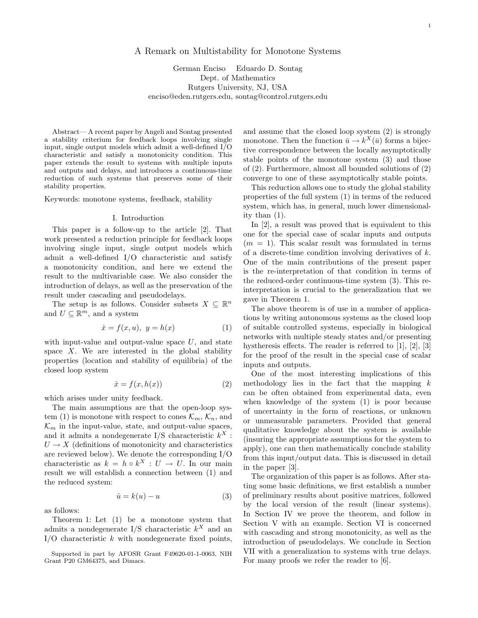# A Remark on Multistability for Monotone Systems

German Enciso Eduardo D. Sontag Dept. of Mathematics Rutgers University, NJ, USA enciso@eden.rutgers.edu, sontag@control.rutgers.edu

Abstract—A recent paper by Angeli and Sontag presented a stability criterium for feedback loops involving single input, single output models which admit a well-defined I/O characteristic and satisfy a monotonicity condition. This paper extends the result to systems with multiple inputs and outputs and delays, and introduces a continuous-time reduction of such systems that preserves some of their stability properties.

Keywords: monotone systems, feedback, stability

### I. Introduction

This paper is a follow-up to the article [2]. That work presented a reduction principle for feedback loops involving single input, single output models which admit a well-defined I/O characteristic and satisfy a monotonicity condition, and here we extend the result to the multivariable case. We also consider the introduction of delays, as well as the preservation of the result under cascading and pseudodelays.

The setup is as follows. Consider subsets  $X \subseteq \mathbb{R}^n$ and  $U \subseteq \mathbb{R}^m$ , and a system

$$
\dot{x} = f(x, u), \ y = h(x) \tag{1}
$$

with input-value and output-value space *U*, and state space *X*. We are interested in the global stability properties (location and stability of equilibria) of the closed loop system

$$
\dot{x} = f(x, h(x))\tag{2}
$$

which arises under unity feedback.

The main assumptions are that the open-loop system (1) is monotone with respect to cones  $\mathcal{K}_m$ ,  $\mathcal{K}_n$ , and  $\mathcal{K}_m$  in the input-value, state, and output-value spaces, and it admits a nondegenerate  $I/S$  characteristic  $k^X$ :  $U \rightarrow X$  (definitions of monotonicity and characteristics are reviewed below). We denote the corresponding I/O characteristic as  $k = h \circ k^{X} : U \to U$ . In our main result we will establish a connection between (1) and the reduced system:

$$
\dot{u} = k(u) - u \tag{3}
$$

as follows:

Theorem 1: Let (1) be a monotone system that admits a nondegenerate I/S characteristic  $k^X$  and an I/O characteristic *k* with nondegenerate fixed points,

Supported in part by AFOSR Grant F49620-01-1-0063, NIH Grant P20 GM64375, and Dimacs.

and assume that the closed loop system (2) is strongly monotone. Then the function  $\bar{u} \to k^X(\bar{u})$  forms a bijective correspondence between the locally asymptotically stable points of the monotone system (3) and those of (2). Furthermore, almost all bounded solutions of (2) converge to one of these asymptotically stable points.

This reduction allows one to study the global stability properties of the full system (1) in terms of the reduced system, which has, in general, much lower dimensionality than (1).

In [2], a result was proved that is equivalent to this one for the special case of scalar inputs and outputs  $(m = 1)$ . This scalar result was formulated in terms of a discrete-time condition involving derivatives of *k*. One of the main contributions of the present paper is the re-interpretation of that condition in terms of the reduced-order continuous-time system (3). This reinterpretation is crucial to the generalization that we gave in Theorem 1.

The above theorem is of use in a number of applications by writing autonomous systems as the closed loop of suitable controlled systems, especially in biological networks with multiple steady states and/or presenting hystheresis effects. The reader is referred to [1], [2], [3] for the proof of the result in the special case of scalar inputs and outputs.

One of the most interesting implications of this methodology lies in the fact that the mapping *k* can be often obtained from experimental data, even when knowledge of the system (1) is poor because of uncertainty in the form of reactions, or unknown or unmeasurable parameters. Provided that general qualitative knowledge about the system is available (insuring the appropriate assumptions for the system to apply), one can then mathematically conclude stability from this input/output data. This is discussed in detail in the paper [3].

The organization of this paper is as follows. After stating some basic definitions, we first establish a number of preliminary results about positive matrices, followed by the local version of the result (linear systems). In Section IV we prove the theorem, and follow in Section V with an example. Section VI is concerned with cascading and strong monotonicity, as well as the introduction of pseudodelays. We conclude in Section VII with a generalization to systems with true delays. For many proofs we refer the reader to  $[6]$ .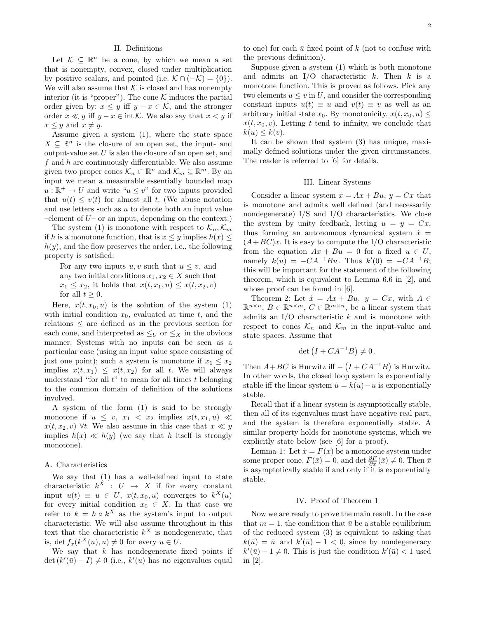#### II. Definitions

Let  $K \subseteq \mathbb{R}^n$  be a cone, by which we mean a set that is nonempty, convex, closed under multiplication by positive scalars, and pointed (i.e.  $\mathcal{K} \cap (-\mathcal{K}) = \{0\}$ ). We will also assume that  $K$  is closed and has nonempty interior (it is "proper"). The cone  $K$  induces the partial order given by:  $x \leq y$  iff  $y - x \in \mathcal{K}$ , and the stronger order  $x \ll y$  iff  $y - x \in \text{int }\mathcal{K}$ . We also say that  $x < y$  if  $x \leq y$  and  $x \neq y$ .

Assume given a system (1), where the state space  $X \subseteq \mathbb{R}^n$  is the closure of an open set, the input- and output-value set *U* is also the closure of an open set, and *f* and *h* are continuously differentiable. We also assume given two proper cones  $\mathcal{K}_n \subset \mathbb{R}^n$  and  $\mathcal{K}_m \subseteq \mathbb{R}^m$ . By an input we mean a measurable essentially bounded map  $u:\mathbb{R}^+ \to U$  and write " $u \leq v$ " for two inputs provided that  $u(t) \leq v(t)$  for almost all *t*. (We abuse notation and use letters such as *u* to denote both an input value –element of *U*– or an input, depending on the context.)

The system (1) is monotone with respect to  $\mathcal{K}_n, \mathcal{K}_m$ if *h* is a monotone function, that is  $x \leq y$  implies  $h(x) \leq$ *h*(*y*), and the flow preserves the order, i.e., the following property is satisfied:

For any two inputs  $u, v$  such that  $u \leq v$ , and any two initial conditions  $x_1, x_2 \in X$  such that  $x_1 \leq x_2$ , it holds that  $x(t, x_1, u) \leq x(t, x_2, v)$ for all  $t > 0$ .

Here,  $x(t, x_0, u)$  is the solution of the system (1) with initial condition  $x_0$ , evaluated at time  $t$ , and the relations  $\leq$  are defined as in the previous section for each cone, and interpreted as  $\leq_U$  or  $\leq_X$  in the obvious manner. Systems with no inputs can be seen as a particular case (using an input value space consisting of just one point); such a system is monotone if  $x_1 \leq x_2$ implies  $x(t, x_1) \leq x(t, x_2)$  for all *t*. We will always understand "for all *t*" to mean for all times *t* belonging to the common domain of definition of the solutions involved.

A system of the form (1) is said to be strongly monotone if  $u \leq v$ ,  $x_1 < x_2$  implies  $x(t, x_1, u) \ll$ *x*(*t*, *x*<sub>2</sub>, *v*) ∀*t*. We also assume in this case that *x*  $\ll y$ implies  $h(x) \ll h(y)$  (we say that *h* itself is strongly monotone).

#### A. Characteristics

We say that (1) has a well-defined input to state characteristic  $k^X : U \rightarrow X$  if for every constant input  $u(t) \equiv u \in U$ ,  $x(t, x_0, u)$  converges to  $k^X(u)$ for every initial condition  $x_0 \in X$ . In that case we refer to  $k = h \circ k^{X}$  as the system's input to output characteristic. We will also assume throughout in this text that the characteristic  $k^X$  is nondegenerate, that is, det  $f_x(k^X(u), u) \neq 0$  for every  $u \in U$ .

We say that *k* has nondegenerate fixed points if  $\det (k'(\bar{u}) - I) \neq 0$  (i.e.,  $k'(u)$  has no eigenvalues equal to one) for each  $\bar{u}$  fixed point of  $k$  (not to confuse with the previous definition).

Suppose given a system (1) which is both monotone and admits an I/O characteristic *k*. Then *k* is a monotone function. This is proved as follows. Pick any two elements  $u \leq v$  in U, and consider the corresponding constant inputs  $u(t) \equiv u$  and  $v(t) \equiv v$  as well as an arbitrary initial state  $x_0$ . By monotonicity,  $x(t, x_0, u) \leq$  $x(t, x_0, v)$ . Letting *t* tend to infinity, we conclude that  $k(u) \leq k(v)$ .

It can be shown that system (3) has unique, maximally defined solutions under the given circumstances. The reader is referred to [6] for details.

#### III. Linear Systems

Consider a linear system  $\dot{x} = Ax + Bu$ ,  $y = Cx$  that is monotone and admits well defined (and necessarily nondegenerate) I/S and I/O characteristics. We close the system by unity feedback, letting  $u = y = Cx$ , thus forming an autonomous dynamical system  $\dot{x}$  =  $(A + BC)x$ . It is easy to compute the I/O characteristic from the equation  $Ax + Bu = 0$  for a fixed  $u \in U$ , namely  $k(u) = -CA^{-1}Bu$ . Thus  $k'(0) = -CA^{-1}B$ ; this will be important for the statement of the following theorem, which is equivalent to Lemma 6.6 in [2], and whose proof can be found in [6].

Theorem 2: Let  $\dot{x} = Ax + Bu$ ,  $y = Cx$ , with  $A \in$  $\mathbb{R}^{n \times n}$ ,  $B \in \mathbb{R}^{n \times m}$ ,  $C \in \mathbb{R}^{m \times n}$ , be a linear system that admits an I/O characteristic *k* and is monotone with respect to cones  $\mathcal{K}_n$  and  $\mathcal{K}_m$  in the input-value and state spaces. Assume that

$$
\det (I + CA^{-1}B) \neq 0.
$$

Then  $A + BC$  is Hurwitz iff  $- (I + CA^{-1}B)$  is Hurwitz. In other words, the closed loop system is exponentially stable iff the linear system  $\dot{u} = k(u) - u$  is exponentially stable.

Recall that if a linear system is asymptotically stable, then all of its eigenvalues must have negative real part, and the system is therefore exponentially stable. A similar property holds for monotone systems, which we explicitly state below (see [6] for a proof).

Lemma 1: Let  $\dot{x} = F(x)$  be a monotone system under some proper cone,  $F(\bar{x}) = 0$ , and det  $\frac{\partial F}{\partial x}(\bar{x}) \neq 0$ . Then  $\bar{x}$ is asymptotically stable if and only if it is exponentially stable.

### IV. Proof of Theorem 1

Now we are ready to prove the main result. In the case that  $m = 1$ , the condition that  $\bar{u}$  be a stable equilibrium of the reduced system (3) is equivalent to asking that  $k(\bar{u}) = \bar{u}$  and  $k'(\bar{u}) - 1 < 0$ , since by nondegeneracy  $k'(\bar{u}) - 1 \neq 0$ . This is just the condition  $k'(\bar{u}) < 1$  used in [2].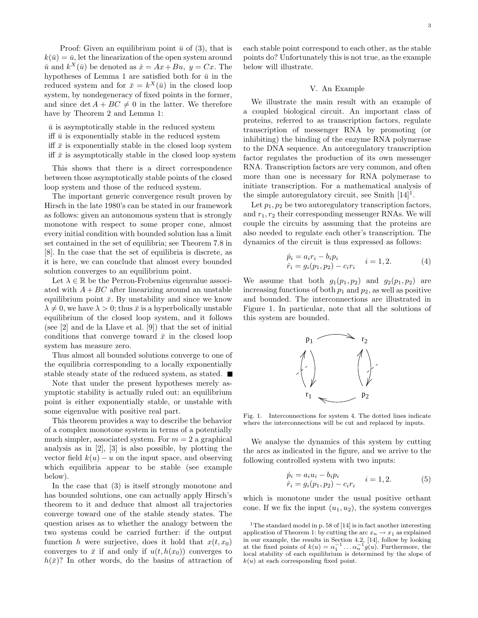Proof: Given an equilibrium point  $\bar{u}$  of (3), that is  $k(\bar{u})=\bar{u}$ , let the linearization of the open system around  $\bar{u}$  and  $k^X(\bar{u})$  be denoted as  $\dot{x} = Ax + Bu$ ,  $y = Cx$ . The hypotheses of Lemma 1 are satisfied both for  $\bar{u}$  in the reduced system and for  $\bar{x} = k^X(\bar{u})$  in the closed loop system, by nondegeneracy of fixed points in the former, and since  $\det A + BC \neq 0$  in the latter. We therefore have by Theorem 2 and Lemma 1:

 $\bar{u}$  is asymptotically stable in the reduced system iff  $\bar{u}$  is exponentially stable in the reduced system iff  $\bar{x}$  is exponentially stable in the closed loop system iff  $\bar{x}$  is asymptotically stable in the closed loop system

This shows that there is a direct correspondence between those asymptotically stable points of the closed loop system and those of the reduced system.

The important generic convergence result proven by Hirsch in the late 1980's can be stated in our framework as follows: given an autonomous system that is strongly monotone with respect to some proper cone, almost every initial condition with bounded solution has a limit set contained in the set of equilibria; see Theorem 7.8 in [8]. In the case that the set of equilibria is discrete, as it is here, we can conclude that almost every bounded solution converges to an equilibrium point.

Let  $\lambda \in \mathbb{R}$  be the Perron-Frobenius eigenvalue associated with  $A + BC$  after linearizing around an unstable equilibrium point  $\bar{x}$ . By unstability and since we know  $\lambda \neq 0$ , we have  $\lambda > 0$ ; thus  $\bar{x}$  is a hyperbolically unstable equilibrium of the closed loop system, and it follows (see [2] and de la Llave et al. [9]) that the set of initial conditions that converge toward  $\bar{x}$  in the closed loop system has measure zero.

Thus almost all bounded solutions converge to one of the equilibria corresponding to a locally exponentially stable steady state of the reduced system, as stated.

Note that under the present hypotheses merely asymptotic stability is actually ruled out: an equilibrium point is either exponentially stable, or unstable with some eigenvalue with positive real part.

This theorem provides a way to describe the behavior of a complex monotone system in terms of a potentially much simpler, associated system. For  $m = 2$  a graphical analysis as in [2], [3] is also possible, by plotting the vector field  $k(u) - u$  on the input space, and observing which equilibria appear to be stable (see example below).

In the case that (3) is itself strongly monotone and has bounded solutions, one can actually apply Hirsch's theorem to it and deduce that almost all trajectories converge toward one of the stable steady states. The question arises as to whether the analogy between the two systems could be carried further: if the output function *h* were surjective, does it hold that  $x(t, x_0)$ converges to  $\bar{x}$  if and only if  $u(t, h(x_0))$  converges to  $h(\bar{x})$ ? In other words, do the basins of attraction of 3

each stable point correspond to each other, as the stable points do? Unfortunately this is not true, as the example below will illustrate.

# V. An Example

We illustrate the main result with an example of a coupled biological circuit. An important class of proteins, referred to as transcription factors, regulate transcription of messenger RNA by promoting (or inhibiting) the binding of the enzyme RNA polymerase to the DNA sequence. An autoregulatory transcription factor regulates the production of its own messenger RNA. Transcription factors are very common, and often more than one is necessary for RNA polymerase to initiate transcription. For a mathematical analysis of the simple autoregulatory circuit, see Smith  $[14]$ <sup>1</sup>.

Let  $p_1, p_2$  be two autoregulatory transcription factors, and  $r_1, r_2$  their corresponding messenger RNAs. We will couple the circuits by assuming that the proteins are also needed to regulate each other's transcription. The dynamics of the circuit is thus expressed as follows:

$$
\dot{p}_i = a_i r_i - b_i p_i \n\dot{r}_i = g_i(p_1, p_2) - c_i r_i \qquad i = 1, 2.
$$
\n(4)

We assume that both  $g_1(p_1, p_2)$  and  $g_2(p_1, p_2)$  are increasing functions of both  $p_1$  and  $p_2$ , as well as positive and bounded. The interconnections are illustrated in Figure 1. In particular, note that all the solutions of this system are bounded.



Fig. 1. Interconnections for system 4. The dotted lines indicate where the interconnections will be cut and replaced by inputs.

We analyse the dynamics of this system by cutting the arcs as indicated in the figure, and we arrive to the following controlled system with two inputs:

$$
\dot{p}_i = a_i u_i - b_i p_i \n\dot{r}_i = g_i(p_1, p_2) - c_i r_i \qquad i = 1, 2.
$$
\n(5)

which is monotone under the usual positive orthant cone. If we fix the input  $(u_1, u_2)$ , the system converges

<sup>&</sup>lt;sup>1</sup>The standard model in p. 58 of [14] is in fact another interesting application of Theorem 1: by cutting the arc  $x_n \to x_1$  as explained in our example, the results in Section 4.2, [14], follow by looking at the fixed points of  $k(u) = \alpha_1^{-1} \dots \alpha_n^{-1} g(u)$ . Furthermore, the local stability of each equilibrium is determined by the slope of  $k(u)$  at each corresponding fixed point.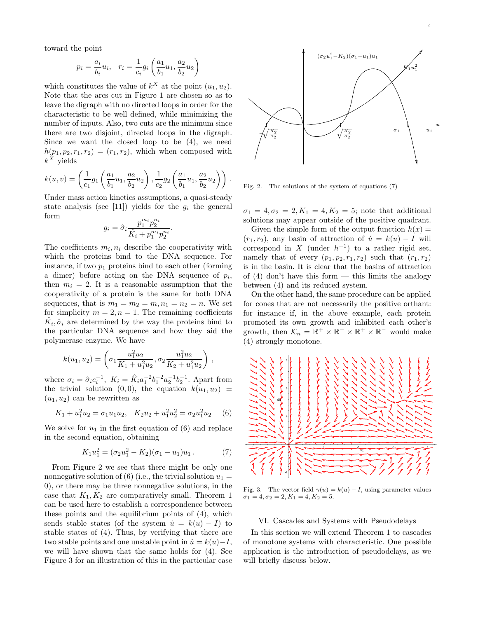toward the point

$$
p_i = \frac{a_i}{b_i} u_i, \quad r_i = \frac{1}{c_i} g_i \left( \frac{a_1}{b_1} u_1, \frac{a_2}{b_2} u_2 \right)
$$

which constitutes the value of  $k^X$  at the point  $(u_1, u_2)$ . Note that the arcs cut in Figure 1 are chosen so as to leave the digraph with no directed loops in order for the characteristic to be well defined, while minimizing the number of inputs. Also, two cuts are the minimum since there are two disjoint, directed loops in the digraph. Since we want the closed loop to be (4), we need  $h(p_1, p_2, r_1, r_2)=(r_1, r_2)$ , which when composed with  $k^X$  yields

$$
k(u, v) = \left(\frac{1}{c_1}g_1\left(\frac{a_1}{b_1}u_1, \frac{a_2}{b_2}u_2\right), \frac{1}{c_2}g_2\left(\frac{a_1}{b_1}u_1, \frac{a_2}{b_2}u_2\right)\right).
$$

Under mass action kinetics assumptions, a quasi-steady state analysis (see [11]) yields for the  $g_i$  the general form

$$
g_i = \hat{\sigma}_i \frac{p_1^{m_i} p_2^{n_i}}{\hat{K}_i + p_1^{m_i} p_2^{n_i}}.
$$

The coefficients  $m_i, n_i$  describe the cooperativity with which the proteins bind to the DNA sequence. For instance, if two  $p_1$  proteins bind to each other (forming a dimer) before acting on the DNA sequence of  $p_i$ , then  $m_i = 2$ . It is a reasonable assumption that the cooperativity of a protein is the same for both DNA sequences, that is  $m_1 = m_2 = m, n_1 = n_2 = n$ . We set for simplicity  $m = 2, n = 1$ . The remaining coefficients  $\hat{K}_i, \hat{\sigma}_i$  are determined by the way the proteins bind to the particular DNA sequence and how they aid the polymerase enzyme. We have

$$
k(u_1, u_2) = \left(\sigma_1 \frac{u_1^2 u_2}{K_1 + u_1^2 u_2}, \sigma_2 \frac{u_1^2 u_2}{K_2 + u_1^2 u_2}\right),
$$

where  $\sigma_i = \hat{\sigma}_i c_i^{-1}$ ,  $K_i = \hat{K}_i a_1^{-2} b_1^{-2} a_2^{-1} b_2^{-1}$ . Apart from the trivial solution  $(0,0)$ , the equation  $k(u_1, u_2)$  =  $(u_1, u_2)$  can be rewritten as

$$
K_1 + u_1^2 u_2 = \sigma_1 u_1 u_2, \quad K_2 u_2 + u_1^2 u_2^2 = \sigma_2 u_1^2 u_2 \tag{6}
$$

We solve for  $u_1$  in the first equation of  $(6)$  and replace in the second equation, obtaining

$$
K_1 u_1^2 = (\sigma_2 u_1^2 - K_2)(\sigma_1 - u_1)u_1.
$$
 (7)

From Figure 2 we see that there might be only one nonnegative solution of  $(6)$  (i.e., the trivial solution  $u_1 =$ 0), or there may be three nonnegative solutions, in the case that  $K_1, K_2$  are comparatively small. Theorem 1 can be used here to establish a correspondence between these points and the equilibrium points of (4), which sends stable states (of the system  $\dot{u} = k(u) - I$ ) to stable states of (4). Thus, by verifying that there are two stable points and one unstable point in  $\dot{u} = k(u) - I$ , we will have shown that the same holds for (4). See Figure 3 for an illustration of this in the particular case



Fig. 2. The solutions of the system of equations (7)

 $\sigma_1 = 4, \sigma_2 = 2, K_1 = 4, K_2 = 5$ ; note that additional solutions may appear outside of the positive quadrant.

Given the simple form of the output function  $h(x) =$  $(r_1, r_2)$ , any basin of attraction of  $\dot{u} = k(u) - I$  will correspond in *X* (under  $h^{-1}$ ) to a rather rigid set, namely that of every  $(p_1, p_2, r_1, r_2)$  such that  $(r_1, r_2)$ is in the basin. It is clear that the basins of attraction of  $(4)$  don't have this form — this limits the analogy between (4) and its reduced system.

On the other hand, the same procedure can be applied for cones that are not necessarily the positive orthant: for instance if, in the above example, each protein promoted its own growth and inhibited each other's growth, then  $\mathcal{K}_n = \mathbb{R}^+ \times \mathbb{R}^- \times \mathbb{R}^+ \times \mathbb{R}^-$  would make (4) strongly monotone.



Fig. 3. The vector field  $\gamma(u) = k(u) - I$ , using parameter values  $\sigma_1 = 4, \sigma_2 = 2, K_1 = 4, K_2 = 5.$ 

### VI. Cascades and Systems with Pseudodelays

In this section we will extend Theorem 1 to cascades of monotone systems with characteristic. One possible application is the introduction of pseudodelays, as we will briefly discuss below.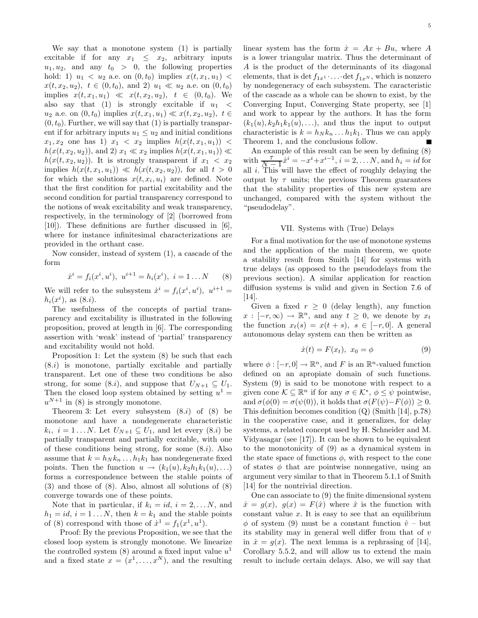We say that a monotone system (1) is partially excitable if for any  $x_1 \leq x_2$ , arbitrary inputs  $u_1, u_2$ , and any  $t_0 > 0$ , the following properties hold: 1)  $u_1 < u_2$  a.e. on  $(0, t_0)$  implies  $x(t, x_1, u_1)$  $x(t, x_2, u_2), t \in (0, t_0), \text{ and } 2) u_1 \ll u_2 \text{ a.e. on } (0, t_0)$ implies  $x(t, x_1, u_1) \ll x(t, x_2, u_2), t \in (0, t_0)$ . We also say that (1) is strongly excitable if  $u_1 <$ *u*<sub>2</sub> a.e. on  $(0, t_0)$  implies  $x(t, x_1, u_1) \ll x(t, x_2, u_2)$ ,  $t \in$  $(0, t_0)$ . Further, we will say that  $(1)$  is partially transparent if for arbitrary inputs  $u_1 \leq u_2$  and initial conditions  $x_1, x_2$  one has 1)  $x_1 < x_2$  implies  $h(x(t, x_1, u_1))$  $h(x(t, x_2, u_2))$ , and 2)  $x_1 \ll x_2$  implies  $h(x(t, x_1, u_1)) \ll$  $h(x(t, x_2, u_2))$ . It is strongly transparent if  $x_1 < x_2$ implies  $h(x(t, x_1, u_1)) \ll h(x(t, x_2, u_2))$ , for all  $t > 0$ for which the solutions  $x(t, x_i, u_i)$  are defined. Note that the first condition for partial excitability and the second condition for partial transparency correspond to the notions of weak excitability and weak transparency, respectively, in the terminology of [2] (borrowed from [10]). These definitions are further discussed in [6], where for instance infinitesimal characterizations are provided in the orthant case.

Now consider, instead of system (1), a cascade of the form

$$
\dot{x}^i = f_i(x^i, u^i), \ u^{i+1} = h_i(x^i), \ i = 1 \dots N \qquad (8)
$$

We will refer to the subsystem  $\dot{x}^i = f_i(x^i, u^i)$ ,  $u^{i+1} =$  $h_i(x^i)$ , as  $(8.i)$ .

The usefulness of the concepts of partial transparency and excitability is illustrated in the following proposition, proved at length in [6]. The corresponding assertion with 'weak' instead of 'partial' transparency and excitability would not hold.

Proposition 1: Let the system (8) be such that each (8.*i*) is monotone, partially excitable and partially transparent. Let one of these two conditions be also strong, for some  $(8.i)$ , and suppose that  $U_{N+1} \subseteq U_1$ . Then the closed loop system obtained by setting  $u^1 =$  $u^{N+1}$  in (8) is strongly monotone.

Theorem 3: Let every subsystem (8.*i*) of (8) be monotone and have a nondegenerate characteristic  $k_i$ ,  $i = 1...N$ . Let  $U_{N+1} \subseteq U_1$ , and let every  $(8. i)$  be partially transparent and partially excitable, with one of these conditions being strong, for some (8.*i*). Also assume that  $k = h_N k_n \dots h_1 k_1$  has nondegenerate fixed points. Then the function  $u \rightarrow (k_1(u), k_2h_1k_1(u), \ldots)$ forms a correspondence between the stable points of (3) and those of (8). Also, almost all solutions of (8) converge towards one of these points.

Note that in particular, if  $k_i = id$ ,  $i = 2,...N$ , and  $h_1 = id$ ,  $i = 1...N$ , then  $k = k_1$  and the stable points of (8) correspond with those of  $\dot{x}^1 = f_1(x^1, u^1)$ .

Proof: By the previous Proposition, we see that the closed loop system is strongly monotone. We linearize the controlled system  $(8)$  around a fixed input value  $u<sup>1</sup>$ and a fixed state  $x = (x^1, \ldots, x^N)$ , and the resulting linear system has the form  $\dot{x} = Ax + Bu$ , where A is a lower triangular matrix. Thus the determinant of *A* is the product of the determinants of its diagonal elements, that is det  $f_{1x^1} \cdot \ldots \cdot \det f_{1x^N}$ , which is nonzero by nondegeneracy of each subsystem. The caracteristic of the cascade as a whole can be shown to exist, by the Converging Input, Converging State property, see [1] and work to appear by the authors. It has the form  $(k_1(u), k_2h_1k_1(u), \ldots)$ , and thus the input to output characteristic is  $k = h_N k_n \dots h_1 k_1$ . Thus we can apply Theorem 1, and the conclusions follow.

An example of this result can be seen by defining (8) with  $\frac{\tau}{N-1}\dot{x}^i = -x^i + x^{i-1}, i = 2, \ldots N$ , and  $h_i = id$  for all *i*. This will have the effect of roughly delaying the output by  $\tau$  units; the previous Theorem guarantees that the stability properties of this new system are unchanged, compared with the system without the "pseudodelay".

# VII. Systems with (True) Delays

For a final motivation for the use of monotone systems and the application of the main theorem, we quote a stability result from Smith [14] for systems with true delays (as opposed to the pseudodelays from the previous section). A similar application for reaction diffusion systems is valid and given in Section 7.6 of [14].

Given a fixed  $r > 0$  (delay length), any function  $x : [-r, \infty) \to \mathbb{R}^n$ , and any  $t \geq 0$ , we denote by  $x_t$ the function  $x_t(s) = x(t+s)$ ,  $s \in [-r, 0]$ . A general autonomous delay system can then be written as

$$
\dot{x}(t) = F(x_t), \ x_0 = \phi \tag{9}
$$

where  $\phi : [-r, 0] \to \mathbb{R}^n$ , and *F* is an  $\mathbb{R}^n$ -valued function defined on an apropiate domain of such functions. System (9) is said to be monotone with respect to a given cone  $\mathcal{K} \subseteq \mathbb{R}^n$  if for any  $\sigma \in \mathcal{K}^*, \phi \leq \psi$  pointwise, and  $\sigma(\phi(0) = \sigma(\psi(0)),$  it holds that  $\sigma(F(\psi) - F(\phi)) \geq 0$ . This definition becomes condition (Q) (Smith [14], p.78) in the cooperative case, and it generalizes, for delay systems, a related concept used by H. Schneider and M. Vidyasagar (see [17]). It can be shown to be equivalent to the monotonicity of (9) as a dynamical system in the state space of functions  $\phi$ , with respect to the cone of states  $\phi$  that are pointwise nonnegative, using an argument very similar to that in Theorem 5.1.1 of Smith [14] for the nontrivial direction.

One can associate to (9) the finite dimensional system  $\dot{x} = g(x), g(x) = F(\hat{x})$  where  $\hat{x}$  is the function with constant value  $x$ . It is easy to see that an equilibrium  $\phi$  of system (9) must be a constant function  $\hat{v}$  – but its stability may in general well differ from that of *v* in  $\dot{x} = q(x)$ . The next lemma is a rephrasing of [14], Corollary 5.5.2, and will allow us to extend the main result to include certain delays. Also, we will say that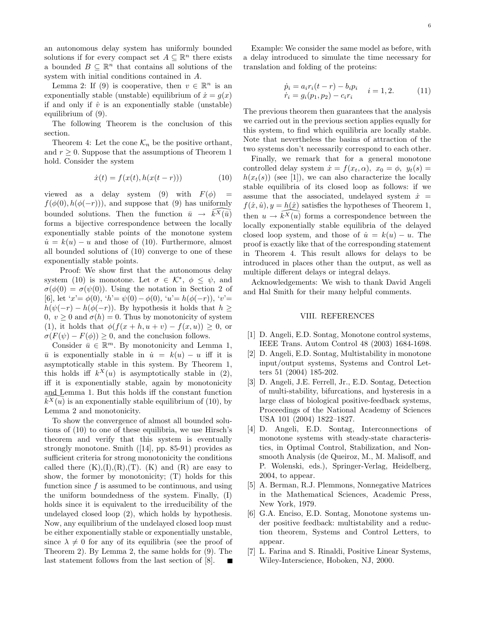an autonomous delay system has uniformly bounded solutions if for every compact set  $A \subseteq \mathbb{R}^n$  there exists a bounded  $B \subseteq \mathbb{R}^n$  that contains all solutions of the system with initial conditions contained in *A*.

Lemma 2: If (9) is cooperative, then  $v \in \mathbb{R}^n$  is an exponentially stable (unstable) equilibrium of  $\dot{x} = q(x)$ if and only if  $\hat{v}$  is an exponentially stable (unstable) equilibrium of (9).

The following Theorem is the conclusion of this section.

Theorem 4: Let the cone  $\mathcal{K}_n$  be the positive orthant, and  $r > 0$ . Suppose that the assumptions of Theorem 1 hold. Consider the system

$$
\dot{x}(t) = f(x(t), h(x(t - r)))
$$
\n(10)

viewed as a delay system (9) with  $F(\phi)$  =  $f(\phi(0), h(\phi(-r)))$ , and suppose that (9) has uniformly bounded solutions. Then the function  $\bar{u} \rightarrow \bar{k}^X(\bar{u})$ forms a bijective correspondence between the locally exponentially stable points of the monotone system  $\dot{u} = k(u) - u$  and those of (10). Furthermore, almost all bounded solutions of (10) converge to one of these exponentially stable points.

Proof: We show first that the autonomous delay system (10) is monotone. Let  $\sigma \in \mathcal{K}^*, \phi \leq \psi$ , and  $\sigma(\phi(0)) = \sigma(\psi(0))$ . Using the notation in Section 2 of [6], let '*x*'= *φ*(0), '*h*'= *ψ*(0) −*φ*(0), '*u*'= *h*(*φ*(−*r*)), '*v*'=  $h(\psi(-r) - h(\phi(-r))$ . By hypothesis it holds that  $h \geq$ 0,  $v \ge 0$  and  $\sigma(h) = 0$ . Thus by monotonicity of system (1), it holds that  $\phi(f(x+h, u+v) - f(x, u)) \geq 0$ , or  $\sigma(F(\psi) - F(\phi)) \geq 0$ , and the conclusion follows.

Consider  $\bar{u} \in \mathbb{R}^m$ . By monotonicity and Lemma 1,  $\bar{u}$  is exponentially stable in  $\dot{u} = k(u) - u$  iff it is asymptotically stable in this system. By Theorem 1, this holds iff  $k^X(u)$  is asymptotically stable in (2), iff it is exponentially stable, again by monotonicity and Lemma 1. But this holds iff the constant function  $\widetilde{k^X(u)}$  is an exponentially stable equilibrium of (10), by Lemma 2 and monotonicity.

To show the convergence of almost all bounded solutions of (10) to one of these equilibria, we use Hirsch's theorem and verify that this system is eventually strongly monotone. Smith ([14], pp. 85-91) provides as sufficient criteria for strong monotonicity the conditions called there  $(K),(I),(R),(T)$ .  $(K)$  and  $(R)$  are easy to show, the former by monotonicity; (T) holds for this function since *f* is assumed to be continuous, and using the uniform boundedness of the system. Finally, (I) holds since it is equivalent to the irreducibility of the undelayed closed loop (2), which holds by hypothesis. Now, any equilibrium of the undelayed closed loop must be either exponentially stable or exponentially unstable, since  $\lambda \neq 0$  for any of its equilibria (see the proof of Theorem 2). By Lemma 2, the same holds for (9). The last statement follows from the last section of [8].

Example: We consider the same model as before, with a delay introduced to simulate the time necessary for translation and folding of the proteins:

$$
\dot{p}_i = a_i r_i (t - r) - b_i p_i \t i = 1, 2.
$$
\n
$$
\dot{r}_i = g_i (p_1, p_2) - c_i r_i \t i = 1, 2.
$$
\n(11)

The previous theorem then guarantees that the analysis we carried out in the previous section applies equally for this system, to find which equilibria are locally stable. Note that nevertheless the basins of attraction of the two systems don't necessarily correspond to each other.

Finally, we remark that for a general monotone controlled delay system  $\dot{x} = f(x_t, \alpha)$ ,  $x_0 = \phi$ ,  $y_t(s) =$  $h(x_t(s))$  (see [1]), we can also characterize the locally stable equilibria of its closed loop as follows: if we assume that the associated, undelayed system  $\dot{x}$  =  $f(\hat{x}, \hat{u})$ ,  $y = h(\hat{x})$  satisfies the hypotheses of Theorem 1, then  $u \to \widetilde{k}^X(u)$  forms a correspondence between the locally exponentially stable equilibria of the delayed closed loop system, and those of  $\dot{u} = k(u) - u$ . The proof is exactly like that of the corresponding statement in Theorem 4. This result allows for delays to be introduced in places other than the output, as well as multiple different delays or integral delays.

Acknowledgements: We wish to thank David Angeli and Hal Smith for their many helpful comments.

# VIII. REFERENCES

- [1] D. Angeli, E.D. Sontag, Monotone control systems, IEEE Trans. Autom Control 48 (2003) 1684-1698.
- [2] D. Angeli, E.D. Sontag, Multistability in monotone input/output systems, Systems and Control Letters 51 (2004) 185-202.
- [3] D. Angeli, J.E. Ferrell, Jr., E.D. Sontag, Detection of multi-stability, bifurcations, and hysteresis in a large class of biological positive-feedback systems, Proceedings of the National Academy of Sciences USA 101 (2004) 1822–1827.
- [4] D. Angeli, E.D. Sontag, Interconnections of monotone systems with steady-state characteristics, in Optimal Control, Stabilization, and Nonsmooth Analysis (de Queiroz, M., M. Malisoff, and P. Wolenski, eds.), Springer-Verlag, Heidelberg, 2004, to appear.
- [5] A. Berman, R.J. Plemmons, Nonnegative Matrices in the Mathematical Sciences, Academic Press, New York, 1979.
- [6] G.A. Enciso, E.D. Sontag, Monotone systems under positive feedback: multistability and a reduction theorem, Systems and Control Letters, to appear.
- [7] L. Farina and S. Rinaldi, Positive Linear Systems, Wiley-Interscience, Hoboken, NJ, 2000.